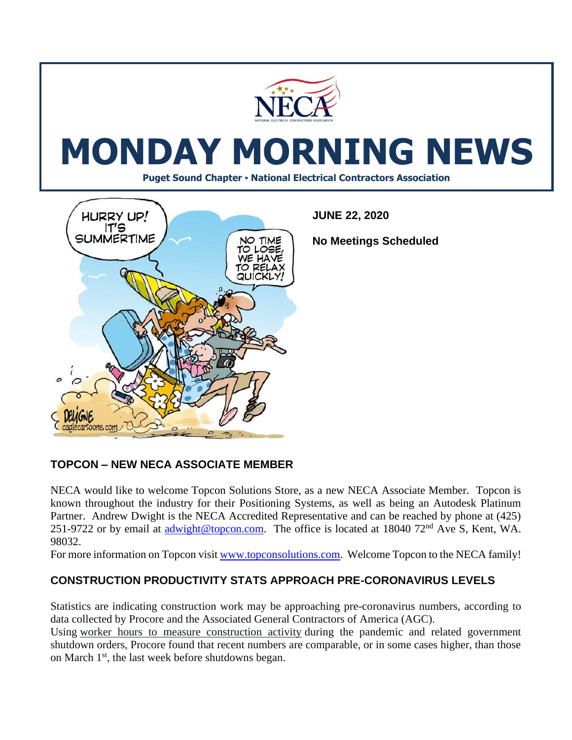

# **TOPCON – NEW NECA ASSOCIATE MEMBER**

NECA would like to welcome Topcon Solutions Store, as a new NECA Associate Member. Topcon is known throughout the industry for their Positioning Systems, as well as being an Autodesk Platinum Partner. Andrew Dwight is the NECA Accredited Representative and can be reached by phone at (425) 251-9722 or by email at [adwight@topcon.com.](mailto:adwight@topcon.com) The office is located at 18040 72<sup>nd</sup> Ave S, Kent, WA. 98032.

For more information on Topcon visi[t www.topconsolutions.com.](http://www.topconsolutions.com/) Welcome Topcon to the NECA family!

# **CONSTRUCTION PRODUCTIVITY STATS APPROACH PRE-CORONAVIRUS LEVELS**

Statistics are indicating construction work may be approaching pre-coronavirus numbers, according to data collected by Procore and the Associated General Contractors of America (AGC).

Using [worker hours to measure construction activity](https://www.agc.org/sites/default/files/Procore%20Contruction%20Activity%20Index%20-%20Metro%20Report%20June%202020_0.pdf) during the pandemic and related government shutdown orders, Procore found that recent numbers are comparable, or in some cases higher, than those on March 1<sup>st</sup>, the last week before shutdowns began.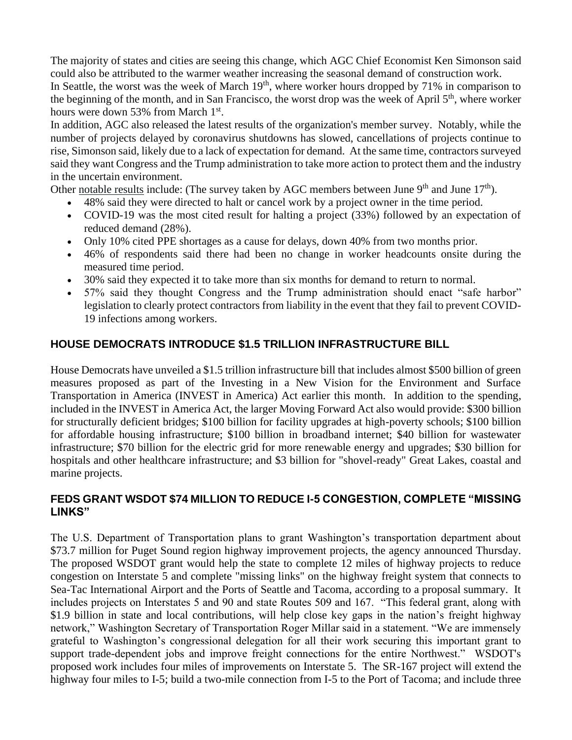The majority of states and cities are seeing this change, which AGC Chief Economist Ken Simonson said could also be attributed to the warmer weather increasing the seasonal demand of construction work. In Seattle, the worst was the week of March 19<sup>th</sup>, where worker hours dropped by 71% in comparison to the beginning of the month, and in San Francisco, the worst drop was the week of April 5<sup>th</sup>, where worker hours were down 53% from March 1<sup>st</sup>.

In addition, AGC also released the latest results of the organization's member survey. Notably, while the number of projects delayed by coronavirus shutdowns has slowed, cancellations of projects continue to rise, Simonson said, likely due to a lack of expectation for demand. At the same time, contractors surveyed said they want Congress and the Trump administration to take more action to protect them and the industry in the uncertain environment.

Other [notable results](https://www.agc.org/sites/default/files/2020_Coronavirus_EighthEdition_total.pdf) include: (The survey taken by AGC members between June  $9<sup>th</sup>$  and June  $17<sup>th</sup>$ ).

- 48% said they were directed to halt or cancel work by a project owner in the time period.
- COVID-19 was the most cited result for halting a project (33%) followed by an expectation of reduced demand (28%).
- Only 10% cited PPE shortages as a cause for delays, down 40% from two months prior.
- 46% of respondents said there had been no change in worker headcounts onsite during the measured time period.
- 30% said they expected it to take more than six months for demand to return to normal.
- 57% said they thought Congress and the Trump administration should enact "safe harbor" legislation to clearly protect contractors from liability in the event that they fail to prevent COVID-19 infections among workers.

# **HOUSE DEMOCRATS INTRODUCE \$1.5 TRILLION INFRASTRUCTURE BILL**

House Democrats have unveiled a \$1.5 trillion infrastructure bill that includes almost \$500 billion of green measures proposed as part of the Investing in a New Vision for the Environment and Surface Transportation in America (INVEST in America) Act earlier this month. In addition to the spending, included in the INVEST in America Act, the larger Moving Forward Act also would provide: \$300 billion for structurally deficient bridges; \$100 billion for facility upgrades at high-poverty schools; \$100 billion for affordable housing infrastructure; \$100 billion in broadband internet; \$40 billion for wastewater infrastructure; \$70 billion for the electric grid for more renewable energy and upgrades; \$30 billion for hospitals and other healthcare infrastructure; and \$3 billion for "shovel-ready" Great Lakes, coastal and marine projects.

### **FEDS GRANT WSDOT \$74 MILLION TO REDUCE I-5 CONGESTION, COMPLETE "MISSING LINKS"**

The U.S. Department of Transportation plans to grant Washington's transportation department about \$73.7 million for Puget Sound region highway improvement projects, the agency announced Thursday. The proposed WSDOT grant would help the state to complete 12 miles of highway projects to reduce congestion on Interstate 5 and complete "missing links" on the highway freight system that connects to Sea-Tac International Airport and the Ports of Seattle and Tacoma, according to a proposal summary. It includes projects on Interstates 5 and 90 and state Routes 509 and 167. "This federal grant, along with \$1.9 billion in state and local contributions, will help close key gaps in the nation's freight highway network," Washington Secretary of Transportation Roger Millar said in a statement. "We are immensely grateful to Washington's congressional delegation for all their work securing this important grant to support trade-dependent jobs and improve freight connections for the entire Northwest." WSDOT's proposed work includes four miles of improvements on Interstate 5. The SR-167 project will extend the highway four miles to I-5; build a two-mile connection from I-5 to the Port of Tacoma; and include three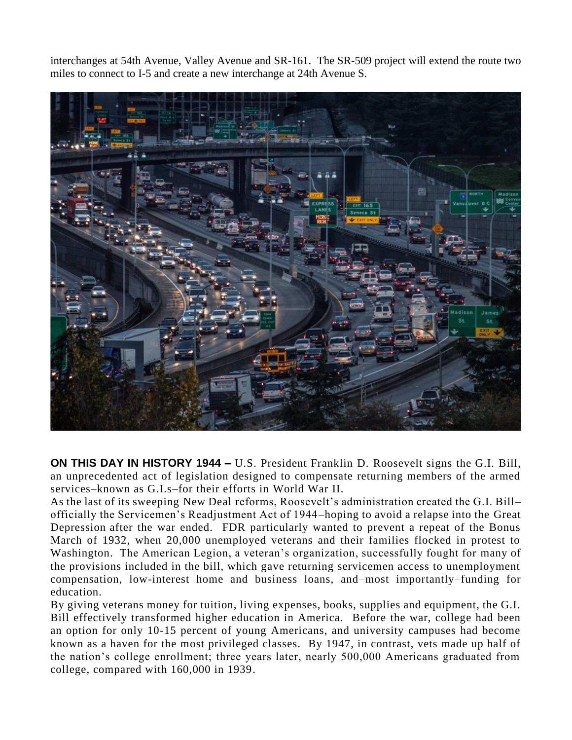interchanges at 54th Avenue, Valley Avenue and SR-161. The SR-509 project will extend the route two miles to connect to I-5 and create a new interchange at 24th Avenue S.



**ON THIS DAY IN HISTORY 1944 –** U.S. President [Franklin D. Roosevelt](https://www.history.com/topics/us-presidents/franklin-d-roosevelt) signs the [G.I. Bill,](https://www.history.com/topics/world-war-ii/gi-bill) an unprecedented act of legislation designed to compensate returning members of the armed services–known as G.I.s–for their efforts in [World War II.](https://www.history.com/topics/world-war-ii)

As the last of its sweeping [New Deal](https://www.history.com/topics/new-deal) reforms, Roosevelt's administration created the G.I. Bill– officially the Servicemen's Readjustment Act of 1944–hoping to avoid a relapse into the [Great](https://www.history.com/topics/great-depression)  [Depression](https://www.history.com/topics/great-depression) after the war ended. FDR particularly wanted to prevent a repeat of the Bonus March of 1932, when 20,000 unemployed veterans and their families flocked in protest to Washington. The American Legion, a veteran's organization, successfully fought for many of the provisions included in the bill, which gave returning servicemen access to unemployment compensation, low-interest home and business loans, and–most importantly–funding for education.

By giving veterans money for tuition, living expenses, books, supplies and equipment, the G.I. Bill effectively transformed higher education in America. Before the war, college had been an option for only 10-15 percent of young Americans, and university campuses had become known as a haven for the most privileged classes. By 1947, in contrast, vets made up half of the nation's college enrollment; three years later, nearly 500,000 Americans graduated from college, compared with 160,000 in 1939.